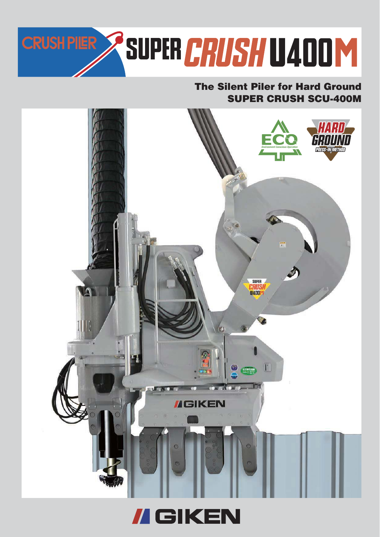

## **SUPER CRUSH SCU-400M The Silent Piler for Hard Ground**